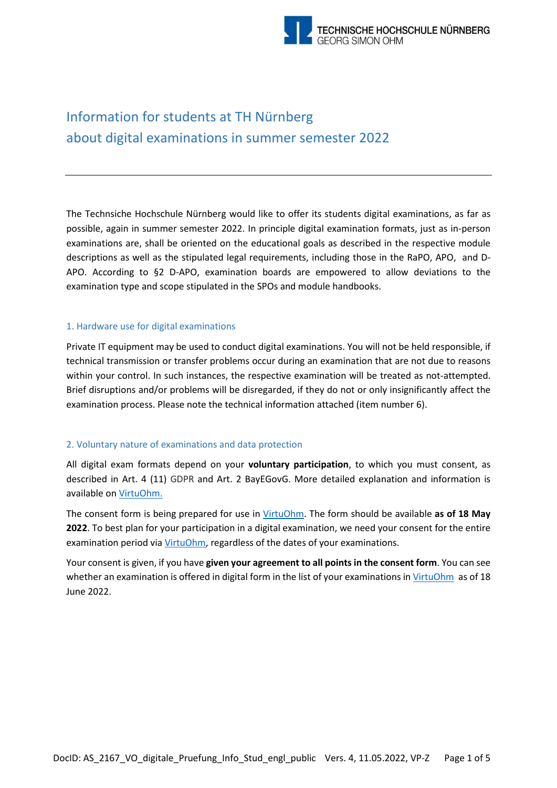

# Information for students at TH Nürnberg about digital examinations in summer semester 2022

The Technsiche Hochschule Nürnberg would like to offer its students digital examinations, as far as possible, again in summer semester 2022. In principle digital examination formats, just as in-person examinations are, shall be oriented on the educational goals as described in the respective module descriptions as well as the stipulated legal requirements, including those in the RaPO, APO, and D-APO. According to §2 D-APO, examination boards are empowered to allow deviations to the examination type and scope stipulated in the SPOs and module handbooks.

# 1. Hardware use for digital examinations

Private IT equipment may be used to conduct digital examinations. You will not be held responsible, if technical transmission or transfer problems occur during an examination that are not due to reasons within your control. In such instances, the respective examination will be treated as not-attempted. Brief disruptions and/or problems will be disregarded, if they do not or only insignificantly affect the examination process. Please note the technical information attached (item number 6).

# 2. Voluntary nature of examinations and data protection

All digital exam formats depend on your **voluntary participation**, to which you must consent, as described in Art. 4 (11) GDPR and Art. 2 BayEGovG. More detailed explanation and information is available on [VirtuOhm.](https://virtuohm.ohmportal.de/pls/portal/portal.anmelden)

The consent form is being prepared for use in [VirtuOhm.](https://virtuohm.ohmportal.de/pls/portal/portal.anmelden) The form should be available **as of 18 May 2022**. To best plan for your participation in a digital examination, we need your consent for the entire examination period via [VirtuOhm,](https://virtuohm.ohmportal.de/pls/portal/portal.anmelden) regardless of the dates of your examinations.

Your consent is given, if you have **given your agreement to all points in the consent form**. You can see whether an examination is offered in digital form in the list of your examinations i[n VirtuOhm](https://virtuohm.ohmportal.de/pls/portal/portal.anmelden) as of 18 June 2022.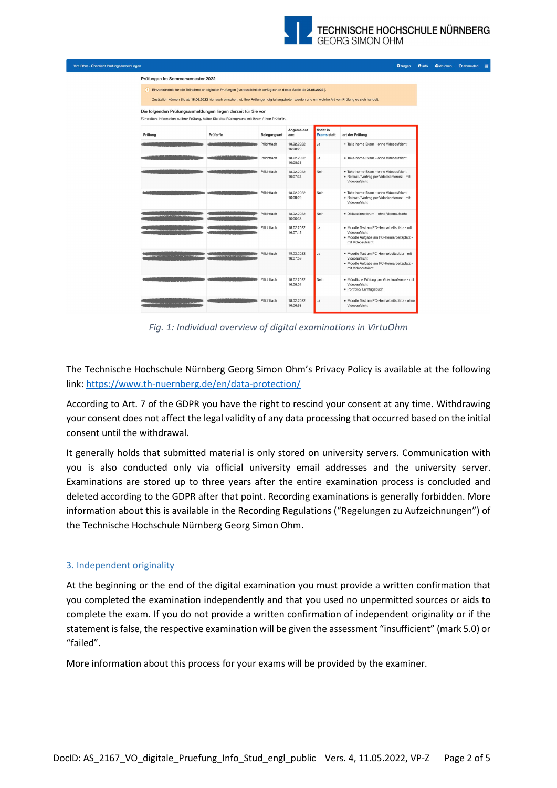

| ω                                                                                                                                                                   | Einverständnis für die Teilnahme an digitalen Prüfungen (voraussichtlich verfügbar an dieser Stelle ab 25.05.2022).                               |              |                        |                                 |                                                                                                                               |
|---------------------------------------------------------------------------------------------------------------------------------------------------------------------|---------------------------------------------------------------------------------------------------------------------------------------------------|--------------|------------------------|---------------------------------|-------------------------------------------------------------------------------------------------------------------------------|
|                                                                                                                                                                     | Zusätzlich können Sie ab 18.06.2022 hier auch einsehen, ob Ihre Prüfungen digital angeboten werden und um welche Art von Prüfung es sich handelt. |              |                        |                                 |                                                                                                                               |
| Die folgenden Prüfungsanmeldungen liegen derzeit für Sie vor<br>Für weitere Information zu Ihrer Prüfung, halten Sie bitte Rücksprache mit Ihrem / Ihrer Prüfer*in. |                                                                                                                                                   |              |                        |                                 |                                                                                                                               |
| Prüfung                                                                                                                                                             | Prüfer*in                                                                                                                                         | Belegungsart | Angemeldet<br>am:      | findet in<br><b>Exams statt</b> | art der Prüfung                                                                                                               |
|                                                                                                                                                                     |                                                                                                                                                   | Pflichtfach  | 18.02.2022<br>16:08:20 | <b>Ja</b>                       | · Take-home-Exam - ohne Videoaufsicht                                                                                         |
|                                                                                                                                                                     |                                                                                                                                                   | Pflichtfach  | 18.02.2022<br>16:08:35 | Ja                              | · Take-home-Exam - ohne Videoaufsicht                                                                                         |
|                                                                                                                                                                     |                                                                                                                                                   | Pflichtfach  | 18.02.2022<br>16:07:34 | Nein                            | · Take-home-Exam - ohne Videoaufsicht<br>· Referat / Vortrag per Videokonferenz - mit<br>Videoaufsicht                        |
|                                                                                                                                                                     |                                                                                                                                                   | Pflichtfach  | 18.02.2022<br>16:09:22 | Nein                            | · Take-home-Exam - ohne Videoaufsicht<br>· Referat / Vortrag per Videokonferenz - mit<br>Videoaufsicht                        |
|                                                                                                                                                                     |                                                                                                                                                   | Pflichtfach  | 18.02.2022<br>16:06:35 | Nein                            | · Diskussionsforum - ohne Videoaufsicht                                                                                       |
|                                                                                                                                                                     |                                                                                                                                                   | Pflichtfach  | 18.02.2022<br>16:07:12 | Ja                              | · Moodle Test am PC-Heimarbeitsplatz - mit<br>Videoaufsicht<br>· Moodle Aufgabe am PC-Heimarbeitsplatz -<br>mit Videoaufsicht |
|                                                                                                                                                                     |                                                                                                                                                   | Pflichtfach  | 18.02.2022<br>16:07:59 | <b>Ja</b>                       | · Moodle Test am PC-Heimarbeitsplatz - mit<br>Videoaufsicht<br>· Moodle Aufgabe am PC-Heimarbeitsplatz -<br>mit Videoaufsicht |
|                                                                                                                                                                     |                                                                                                                                                   | Pflichtfach  | 18.02.2022<br>16:08:31 | Nein                            | · Mündliche Prüfung per Videokonferenz - mit<br>Videoaufsicht<br>· Portfolio/ Lerntagebuch                                    |
|                                                                                                                                                                     |                                                                                                                                                   | Pflichtfach  | 18.02.2022<br>16:06:58 | Ja                              | · Moodle Test am PC-Heimarbeitsplatz - ohne<br>Videoaufsicht                                                                  |

*Fig. 1: Individual overview of digital examinations in VirtuOhm*

The Technische Hochschule Nürnberg Georg Simon Ohm's Privacy Policy is available at the following link:<https://www.th-nuernberg.de/en/data-protection/>

According to Art. 7 of the GDPR you have the right to rescind your consent at any time. Withdrawing your consent does not affect the legal validity of any data processing that occurred based on the initial consent until the withdrawal.

It generally holds that submitted material is only stored on university servers. Communication with you is also conducted only via official university email addresses and the university server. Examinations are stored up to three years after the entire examination process is concluded and deleted according to the GDPR after that point. Recording examinations is generally forbidden. More information about this is available in the Recording Regulations ("Regelungen zu Aufzeichnungen") of the Technische Hochschule Nürnberg Georg Simon Ohm.

#### 3. Independent originality

At the beginning or the end of the digital examination you must provide a written confirmation that you completed the examination independently and that you used no unpermitted sources or aids to complete the exam. If you do not provide a written confirmation of independent originality or if the statement is false, the respective examination will be given the assessment "insufficient" (mark 5.0) or "failed".

More information about this process for your exams will be provided by the examiner.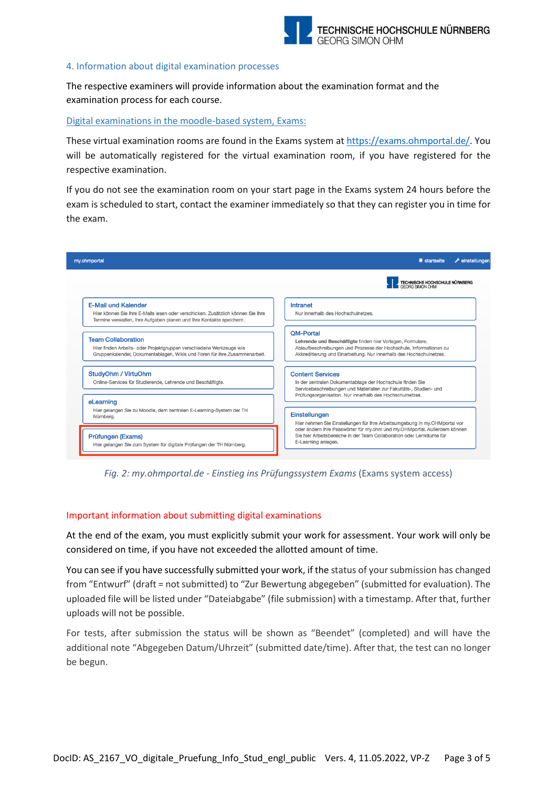

### 4. Information about digital examination processes

The respective examiners will provide information about the examination format and the examination process for each course.

### Digital examinations in the moodle-based system, Exams:

These virtual examination rooms are found in the Exams system a[t https://exams.ohmportal.de/.](https://exams.ohmportal.de/) You will be automatically registered for the virtual examination room, if you have registered for the respective examination.

If you do not see the examination room on your start page in the Exams system 24 hours before the exam is scheduled to start, contact the examiner immediately so that they can register you in time for the exam.



*Fig. 2: my.ohmportal.de - Einstieg ins Prüfungssystem Exams* (Exams system access)

# Important information about submitting digital examinations

At the end of the exam, you must explicitly submit your work for assessment. Your work will only be considered on time, if you have not exceeded the allotted amount of time.

You can see if you have successfully submitted your work, if the status of your submission has changed from "Entwurf" (draft = not submitted) to "Zur Bewertung abgegeben" (submitted for evaluation). The uploaded file will be listed under "Dateiabgabe" (file submission) with a timestamp. After that, further uploads will not be possible.

For tests, after submission the status will be shown as "Beendet" (completed) and will have the additional note "Abgegeben Datum/Uhrzeit" (submitted date/time). After that, the test can no longer be begun.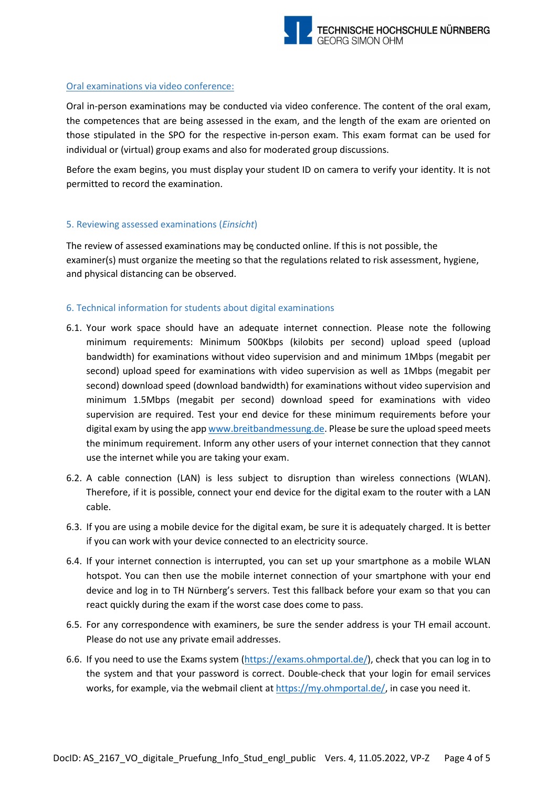

### Oral examinations via video conference:

Oral in-person examinations may be conducted via video conference. The content of the oral exam, the competences that are being assessed in the exam, and the length of the exam are oriented on those stipulated in the SPO for the respective in-person exam. This exam format can be used for individual or (virtual) group exams and also for moderated group discussions.

Before the exam begins, you must display your student ID on camera to verify your identity. It is not permitted to record the examination.

### 5. Reviewing assessed examinations (*Einsicht*)

The review of assessed examinations may be conducted online. If this is not possible, the examiner(s) must organize the meeting so that the regulations related to risk assessment, hygiene, and physical distancing can be observed.

# 6. Technical information for students about digital examinations

- 6.1. Your work space should have an adequate internet connection. Please note the following minimum requirements: Minimum 500Kbps (kilobits per second) upload speed (upload bandwidth) for examinations without video supervision and and minimum 1Mbps (megabit per second) upload speed for examinations with video supervision as well as 1Mbps (megabit per second) download speed (download bandwidth) for examinations without video supervision and minimum 1.5Mbps (megabit per second) download speed for examinations with video supervision are required. Test your end device for these minimum requirements before your digital exam by using the app [www.breitbandmessung.de.](http://www.breitbandmessung.de/) Please be sure the upload speed meets the minimum requirement. Inform any other users of your internet connection that they cannot use the internet while you are taking your exam.
- 6.2. A cable connection (LAN) is less subject to disruption than wireless connections (WLAN). Therefore, if it is possible, connect your end device for the digital exam to the router with a LAN cable.
- 6.3. If you are using a mobile device for the digital exam, be sure it is adequately charged. It is better if you can work with your device connected to an electricity source.
- 6.4. If your internet connection is interrupted, you can set up your smartphone as a mobile WLAN hotspot. You can then use the mobile internet connection of your smartphone with your end device and log in to TH Nürnberg's servers. Test this fallback before your exam so that you can react quickly during the exam if the worst case does come to pass.
- 6.5. For any correspondence with examiners, be sure the sender address is your TH email account. Please do not use any private email addresses.
- 6.6. If you need to use the Exams system [\(https://exams.ohmportal.de/\)](https://exams.ohmportal.de/), check that you can log in to the system and that your password is correct. Double-check that your login for email services works, for example, via the webmail client at [https://my.ohmportal.de/,](https://my.ohmportal.de/) in case you need it.